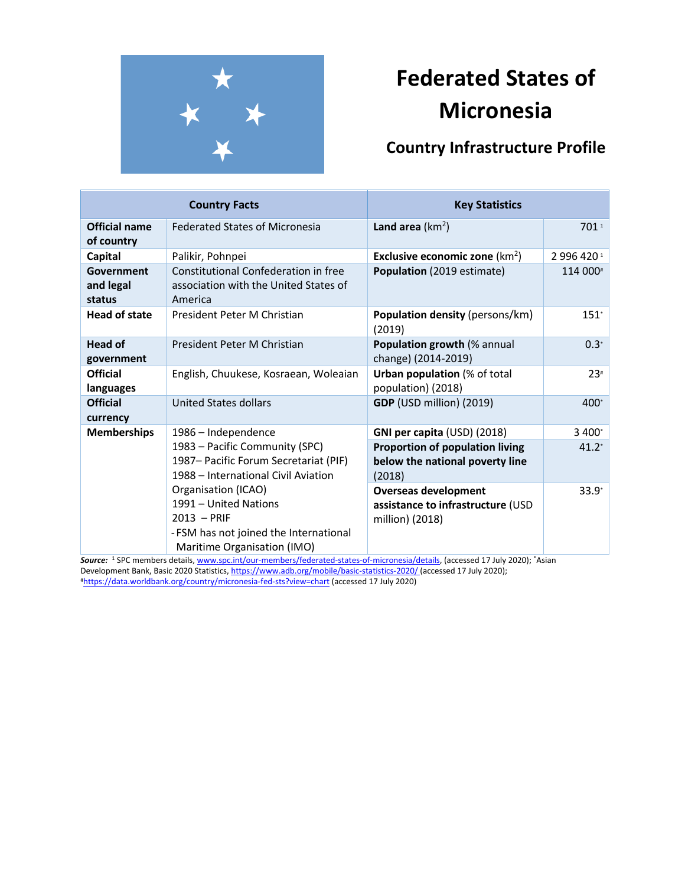

# **Federated States of Micronesia**

# **Country Infrastructure Profile**

| <b>Country Facts</b>               |                                                                                                                                                                                                                                                           | <b>Key Statistics</b>                                                               |            |
|------------------------------------|-----------------------------------------------------------------------------------------------------------------------------------------------------------------------------------------------------------------------------------------------------------|-------------------------------------------------------------------------------------|------------|
| <b>Official name</b><br>of country | <b>Federated States of Micronesia</b>                                                                                                                                                                                                                     | Land area $(km2)$                                                                   | 701 1      |
| Capital                            | Palikir, Pohnpei                                                                                                                                                                                                                                          | <b>Exclusive economic zone</b> ( $km^2$ )                                           | 2 996 4201 |
| Government<br>and legal<br>status  | Constitutional Confederation in free<br>association with the United States of<br>America                                                                                                                                                                  | Population (2019 estimate)                                                          | 114 000#   |
| <b>Head of state</b>               | President Peter M Christian                                                                                                                                                                                                                               | <b>Population density (persons/km)</b><br>(2019)                                    | $151^*$    |
| <b>Head of</b><br>government       | President Peter M Christian                                                                                                                                                                                                                               | Population growth (% annual<br>change) (2014-2019)                                  | $0.3*$     |
| <b>Official</b><br>languages       | English, Chuukese, Kosraean, Woleaian                                                                                                                                                                                                                     | <b>Urban population</b> (% of total<br>population) (2018)                           | $23*$      |
| <b>Official</b><br>currency        | United States dollars                                                                                                                                                                                                                                     | GDP (USD million) (2019)                                                            | $400*$     |
| <b>Memberships</b>                 | 1986 - Independence                                                                                                                                                                                                                                       | GNI per capita (USD) (2018)                                                         | 3 400*     |
|                                    | 1983 - Pacific Community (SPC)<br>1987 – Pacific Forum Secretariat (PIF)<br>1988 – International Civil Aviation<br>Organisation (ICAO)<br>1991 - United Nations<br>$2013 - PRIF$<br>- FSM has not joined the International<br>Maritime Organisation (IMO) | <b>Proportion of population living</b><br>below the national poverty line<br>(2018) | $41.2*$    |
|                                    |                                                                                                                                                                                                                                                           | <b>Overseas development</b><br>assistance to infrastructure (USD<br>million) (2018) | $33.9*$    |

*Source:* <sup>1</sup> SPC members details, [www.spc.int/our-members/federated-states-of-micronesia/details,](http://www.spc.int/our-members/federated-states-of-micronesia/details) (accessed 17 July 2020); \*Asian Development Bank, Basic 2020 Statistics[, https://www.adb.org/mobile/basic-statistics-2020/](https://www.adb.org/mobile/basic-statistics-2020/) (accessed 17 July 2020); #<https://data.worldbank.org/country/micronesia-fed-sts?view=chart> (accessed 17 July 2020)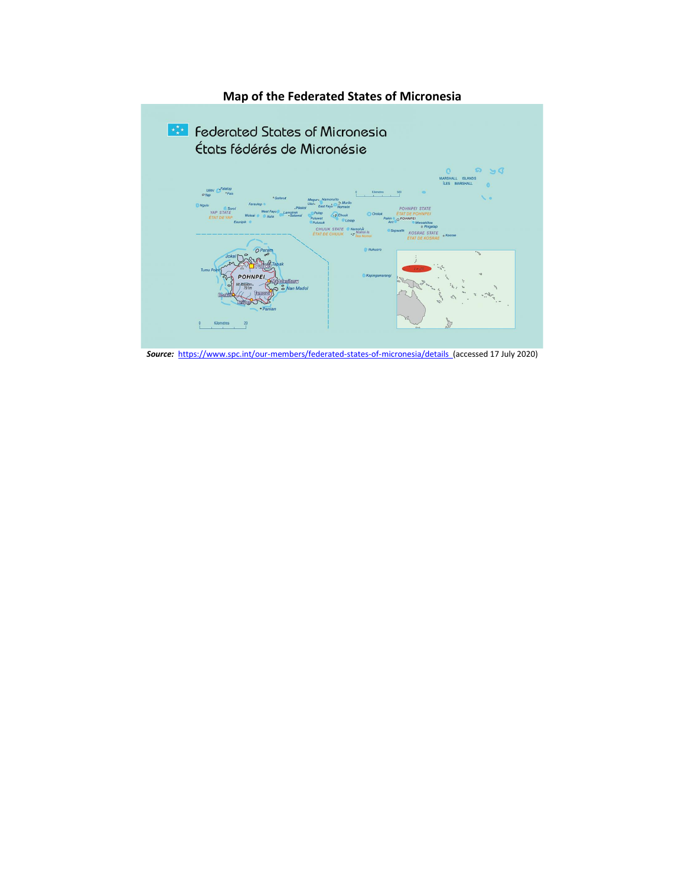

*Source:*<https://www.spc.int/our-members/federated-states-of-micronesia/details>(accessed 17 July 2020)